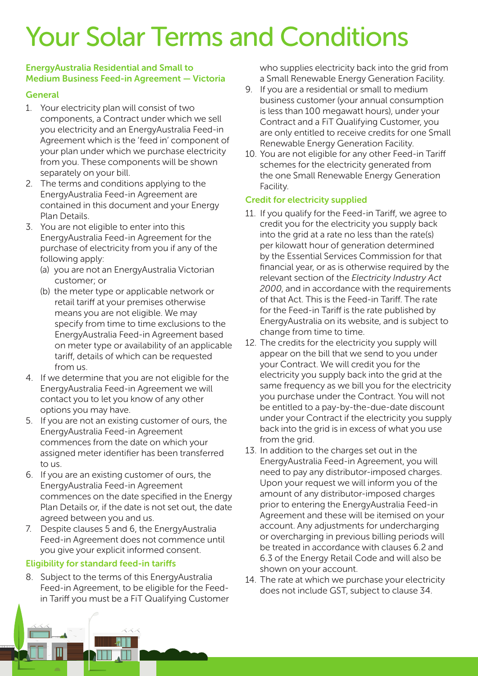# Your Solar Terms and Conditions

#### EnergyAustralia Residential and Small to Medium Business Feed-in Agreement — Victoria

## **General**

- 1. Your electricity plan will consist of two components, a Contract under which we sell you electricity and an EnergyAustralia Feed-in Agreement which is the 'feed in' component of your plan under which we purchase electricity from you. These components will be shown separately on your bill.
- 2. The terms and conditions applying to the EnergyAustralia Feed-in Agreement are contained in this document and your Energy Plan Details.
- 3. You are not eligible to enter into this EnergyAustralia Feed-in Agreement for the purchase of electricity from you if any of the following apply:
	- (a) you are not an EnergyAustralia Victorian customer; or
	- (b) the meter type or applicable network or retail tariff at your premises otherwise means you are not eligible. We may specify from time to time exclusions to the EnergyAustralia Feed-in Agreement based on meter type or availability of an applicable tariff, details of which can be requested from us.
- 4. If we determine that you are not eligible for the EnergyAustralia Feed-in Agreement we will contact you to let you know of any other options you may have.
- 5. If you are not an existing customer of ours, the EnergyAustralia Feed-in Agreement commences from the date on which your assigned meter identifier has been transferred to us.
- 6. If you are an existing customer of ours, the EnergyAustralia Feed-in Agreement commences on the date specified in the Energy Plan Details or, if the date is not set out, the date agreed between you and us.
- 7. Despite clauses 5 and 6, the EnergyAustralia Feed-in Agreement does not commence until you give your explicit informed consent.

# Eligibility for standard feed-in tariffs

8. Subject to the terms of this EnergyAustralia Feed-in Agreement, to be eligible for the Feedin Tariff you must be a FiT Qualifying Customer who supplies electricity back into the grid from a Small Renewable Energy Generation Facility.

- 9. If you are a residential or small to medium business customer (your annual consumption is less than 100 megawatt hours), under your Contract and a FiT Qualifying Customer, you are only entitled to receive credits for one Small Renewable Energy Generation Facility.
- 10. You are not eligible for any other Feed-in Tariff schemes for the electricity generated from the one Small Renewable Energy Generation Facility.

## Credit for electricity supplied

- 11. If you qualify for the Feed-in Tariff, we agree to credit you for the electricity you supply back into the grid at a rate no less than the rate(s) per kilowatt hour of generation determined by the Essential Services Commission for that financial year, or as is otherwise required by the relevant section of the *Electricity Industry Act 2000*, and in accordance with the requirements of that Act. This is the Feed-in Tariff. The rate for the Feed-in Tariff is the rate published by EnergyAustralia on its website, and is subject to change from time to time.
- 12. The credits for the electricity you supply will appear on the bill that we send to you under your Contract. We will credit you for the electricity you supply back into the grid at the same frequency as we bill you for the electricity you purchase under the Contract. You will not be entitled to a pay-by-the-due-date discount under your Contract if the electricity you supply back into the grid is in excess of what you use from the grid.
- 13. In addition to the charges set out in the EnergyAustralia Feed-in Agreement, you will need to pay any distributor-imposed charges. Upon your request we will inform you of the amount of any distributor-imposed charges prior to entering the EnergyAustralia Feed-in Agreement and these will be itemised on your account. Any adjustments for undercharging or overcharging in previous billing periods will be treated in accordance with clauses 6.2 and 6.3 of the Energy Retail Code and will also be shown on your account.
- 14. The rate at which we purchase your electricity does not include GST, subject to clause 34.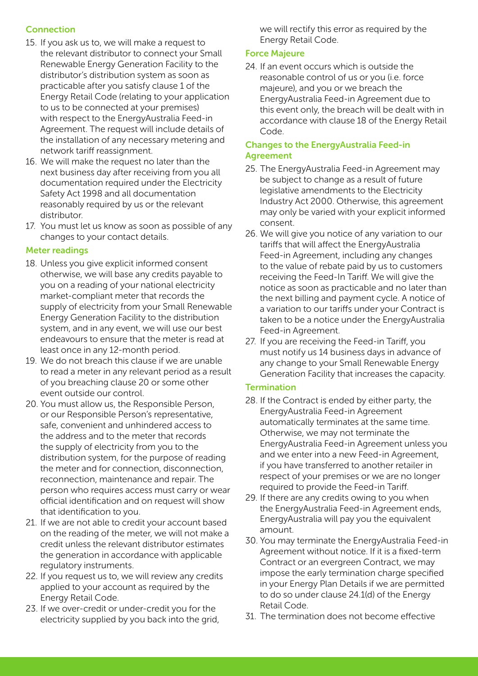# Connection

- 15. If you ask us to, we will make a request to the relevant distributor to connect your Small Renewable Energy Generation Facility to the distributor's distribution system as soon as practicable after you satisfy clause 1 of the Energy Retail Code (relating to your application to us to be connected at your premises) with respect to the EnergyAustralia Feed-in Agreement. The request will include details of the installation of any necessary metering and network tariff reassignment.
- 16. We will make the request no later than the next business day after receiving from you all documentation required under the Electricity Safety Act 1998 and all documentation reasonably required by us or the relevant distributor.
- 17. You must let us know as soon as possible of any changes to your contact details.

## Meter readings

- 18. Unless you give explicit informed consent otherwise, we will base any credits payable to you on a reading of your national electricity market-compliant meter that records the supply of electricity from your Small Renewable Energy Generation Facility to the distribution system, and in any event, we will use our best endeavours to ensure that the meter is read at least once in any 12-month period.
- 19. We do not breach this clause if we are unable to read a meter in any relevant period as a result of you breaching clause 20 or some other event outside our control.
- 20. You must allow us, the Responsible Person, or our Responsible Person's representative, safe, convenient and unhindered access to the address and to the meter that records the supply of electricity from you to the distribution system, for the purpose of reading the meter and for connection, disconnection, reconnection, maintenance and repair. The person who requires access must carry or wear official identification and on request will show that identification to you.
- 21. If we are not able to credit your account based on the reading of the meter, we will not make a credit unless the relevant distributor estimates the generation in accordance with applicable regulatory instruments.
- 22. If you request us to, we will review any credits applied to your account as required by the Energy Retail Code.
- 23. If we over-credit or under-credit you for the electricity supplied by you back into the grid,

we will rectify this error as required by the Energy Retail Code.

## Force Majeure

24. If an event occurs which is outside the reasonable control of us or you (i.e. force majeure), and you or we breach the EnergyAustralia Feed-in Agreement due to this event only, the breach will be dealt with in accordance with clause 18 of the Energy Retail Code.

### Changes to the EnergyAustralia Feed-in Agreement

- 25. The EnergyAustralia Feed-in Agreement may be subject to change as a result of future legislative amendments to the Electricity Industry Act 2000. Otherwise, this agreement may only be varied with your explicit informed consent.
- 26. We will give you notice of any variation to our tariffs that will affect the EnergyAustralia Feed-in Agreement, including any changes to the value of rebate paid by us to customers receiving the Feed-In Tariff. We will give the notice as soon as practicable and no later than the next billing and payment cycle. A notice of a variation to our tariffs under your Contract is taken to be a notice under the EnergyAustralia Feed-in Agreement.
- 27. If you are receiving the Feed-in Tariff, you must notify us 14 business days in advance of any change to your Small Renewable Energy Generation Facility that increases the capacity.

### **Termination**

- 28. If the Contract is ended by either party, the EnergyAustralia Feed-in Agreement automatically terminates at the same time. Otherwise, we may not terminate the EnergyAustralia Feed-in Agreement unless you and we enter into a new Feed-in Agreement, if you have transferred to another retailer in respect of your premises or we are no longer required to provide the Feed-in Tariff.
- 29. If there are any credits owing to you when the EnergyAustralia Feed-in Agreement ends, EnergyAustralia will pay you the equivalent amount.
- 30. You may terminate the EnergyAustralia Feed-in Agreement without notice. If it is a fixed-term Contract or an evergreen Contract, we may impose the early termination charge specified in your Energy Plan Details if we are permitted to do so under clause 24.1(d) of the Energy Retail Code.
- 31. The termination does not become effective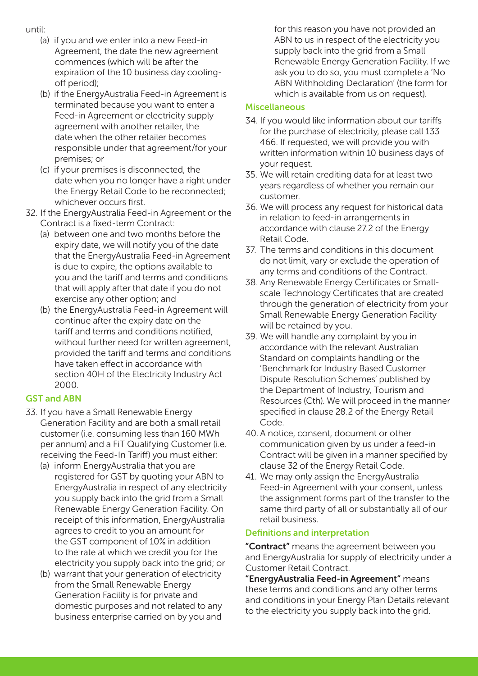- until:
	- (a) if you and we enter into a new Feed-in Agreement, the date the new agreement commences (which will be after the expiration of the 10 business day coolingoff period);
	- (b) if the EnergyAustralia Feed-in Agreement is terminated because you want to enter a Feed-in Agreement or electricity supply agreement with another retailer, the date when the other retailer becomes responsible under that agreement/for your premises; or
	- (c) if your premises is disconnected, the date when you no longer have a right under the Energy Retail Code to be reconnected; whichever occurs first.
- 32. If the EnergyAustralia Feed-in Agreement or the Contract is a fixed-term Contract:
	- (a) between one and two months before the expiry date, we will notify you of the date that the EnergyAustralia Feed-in Agreement is due to expire, the options available to you and the tariff and terms and conditions that will apply after that date if you do not exercise any other option; and
	- (b) the EnergyAustralia Feed-in Agreement will continue after the expiry date on the tariff and terms and conditions notified, without further need for written agreement, provided the tariff and terms and conditions have taken effect in accordance with section 40H of the Electricity Industry Act 2000.

# GST and ABN

- 33. If you have a Small Renewable Energy Generation Facility and are both a small retail customer (i.e. consuming less than 160 MWh per annum) and a FiT Qualifying Customer (i.e. receiving the Feed-In Tariff) you must either:
	- (a) inform EnergyAustralia that you are registered for GST by quoting your ABN to EnergyAustralia in respect of any electricity you supply back into the grid from a Small Renewable Energy Generation Facility. On receipt of this information, EnergyAustralia agrees to credit to you an amount for the GST component of 10% in addition to the rate at which we credit you for the electricity you supply back into the grid; or
	- (b) warrant that your generation of electricity from the Small Renewable Energy Generation Facility is for private and domestic purposes and not related to any business enterprise carried on by you and

for this reason you have not provided an ABN to us in respect of the electricity you supply back into the grid from a Small Renewable Energy Generation Facility. If we ask you to do so, you must complete a 'No ABN Withholding Declaration' (the form for which is available from us on request).

### **Miscellaneous**

- 34. If you would like information about our tariffs for the purchase of electricity, please call 133 466. If requested, we will provide you with written information within 10 business days of your request.
- 35. We will retain crediting data for at least two years regardless of whether you remain our customer.
- 36. We will process any request for historical data in relation to feed-in arrangements in accordance with clause 27.2 of the Energy Retail Code.
- 37. The terms and conditions in this document do not limit, vary or exclude the operation of any terms and conditions of the Contract.
- 38. Any Renewable Energy Certificates or Smallscale Technology Certificates that are created through the generation of electricity from your Small Renewable Energy Generation Facility will be retained by you.
- 39. We will handle any complaint by you in accordance with the relevant Australian Standard on complaints handling or the 'Benchmark for Industry Based Customer Dispute Resolution Schemes' published by the Department of Industry, Tourism and Resources (Cth). We will proceed in the manner specified in clause 28.2 of the Energy Retail Code.
- 40. A notice, consent, document or other communication given by us under a feed-in Contract will be given in a manner specified by clause 32 of the Energy Retail Code.
- 41. We may only assign the EnergyAustralia Feed-in Agreement with your consent, unless the assignment forms part of the transfer to the same third party of all or substantially all of our retail business.

### Definitions and interpretation

"Contract" means the agreement between you and EnergyAustralia for supply of electricity under a Customer Retail Contract.

"EnergyAustralia Feed-in Agreement" means these terms and conditions and any other terms and conditions in your Energy Plan Details relevant to the electricity you supply back into the grid.